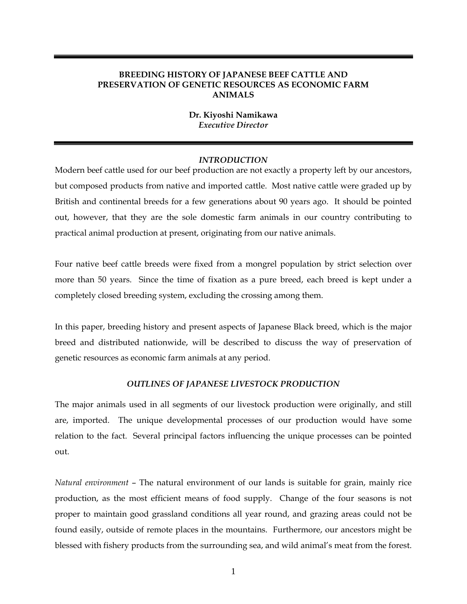## **BREEDING HISTORY OF JAPANESE BEEF CATTLE AND PRESERVATION OF GENETIC RESOURCES AS ECONOMIC FARM ANIMALS**

## **Dr. Kiyoshi Namikawa**  *Executive Director*

## *INTRODUCTION*

Modern beef cattle used for our beef production are not exactly a property left by our ancestors, but composed products from native and imported cattle. Most native cattle were graded up by British and continental breeds for a few generations about 90 years ago. It should be pointed out, however, that they are the sole domestic farm animals in our country contributing to practical animal production at present, originating from our native animals.

Four native beef cattle breeds were fixed from a mongrel population by strict selection over more than 50 years. Since the time of fixation as a pure breed, each breed is kept under a completely closed breeding system, excluding the crossing among them.

In this paper, breeding history and present aspects of Japanese Black breed, which is the major breed and distributed nationwide, will be described to discuss the way of preservation of genetic resources as economic farm animals at any period.

#### *OUTLINES OF JAPANESE LIVESTOCK PRODUCTION*

The major animals used in all segments of our livestock production were originally, and still are, imported. The unique developmental processes of our production would have some relation to the fact. Several principal factors influencing the unique processes can be pointed out.

*Natural environment* – The natural environment of our lands is suitable for grain, mainly rice production, as the most efficient means of food supply. Change of the four seasons is not proper to maintain good grassland conditions all year round, and grazing areas could not be found easily, outside of remote places in the mountains. Furthermore, our ancestors might be blessed with fishery products from the surrounding sea, and wild animal's meat from the forest.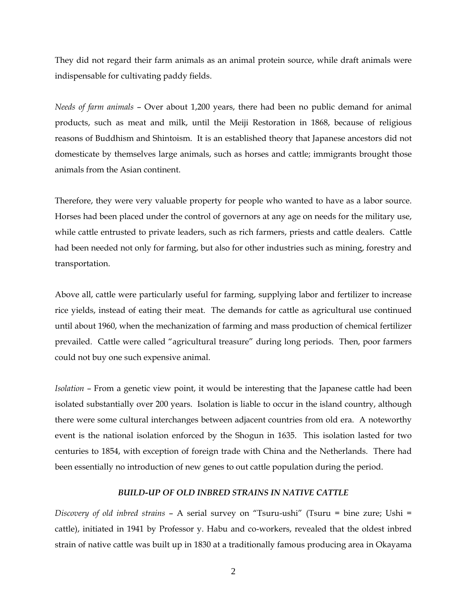They did not regard their farm animals as an animal protein source, while draft animals were indispensable for cultivating paddy fields.

*Needs of farm animals* – Over about 1,200 years, there had been no public demand for animal products, such as meat and milk, until the Meiji Restoration in 1868, because of religious reasons of Buddhism and Shintoism. It is an established theory that Japanese ancestors did not domesticate by themselves large animals, such as horses and cattle; immigrants brought those animals from the Asian continent.

Therefore, they were very valuable property for people who wanted to have as a labor source. Horses had been placed under the control of governors at any age on needs for the military use, while cattle entrusted to private leaders, such as rich farmers, priests and cattle dealers. Cattle had been needed not only for farming, but also for other industries such as mining, forestry and transportation.

Above all, cattle were particularly useful for farming, supplying labor and fertilizer to increase rice yields, instead of eating their meat. The demands for cattle as agricultural use continued until about 1960, when the mechanization of farming and mass production of chemical fertilizer prevailed. Cattle were called "agricultural treasure" during long periods. Then, poor farmers could not buy one such expensive animal.

*Isolation* – From a genetic view point, it would be interesting that the Japanese cattle had been isolated substantially over 200 years. Isolation is liable to occur in the island country, although there were some cultural interchanges between adjacent countries from old era. A noteworthy event is the national isolation enforced by the Shogun in 1635. This isolation lasted for two centuries to 1854, with exception of foreign trade with China and the Netherlands. There had been essentially no introduction of new genes to out cattle population during the period.

#### *BUILD-UP OF OLD INBRED STRAINS IN NATIVE CATTLE*

*Discovery of old inbred strains* – A serial survey on "Tsuru-ushi" (Tsuru = bine zure; Ushi = cattle), initiated in 1941 by Professor y. Habu and co-workers, revealed that the oldest inbred strain of native cattle was built up in 1830 at a traditionally famous producing area in Okayama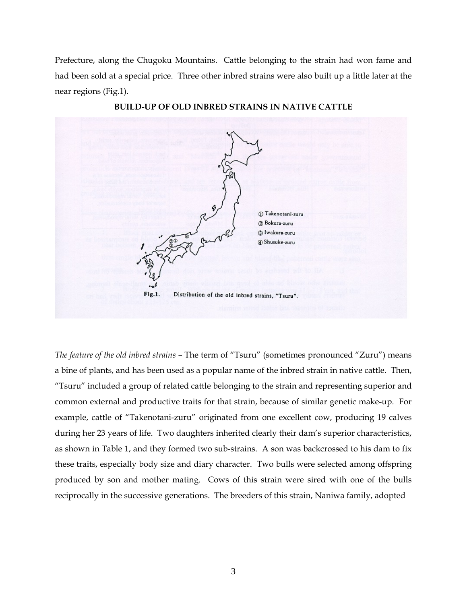Prefecture, along the Chugoku Mountains. Cattle belonging to the strain had won fame and had been sold at a special price. Three other inbred strains were also built up a little later at the near regions (Fig.1).



**BUILD-UP OF OLD INBRED STRAINS IN NATIVE CATTLE** 

*The feature of the old inbred strains* – The term of "Tsuru" (sometimes pronounced "Zuru") means a bine of plants, and has been used as a popular name of the inbred strain in native cattle. Then, "Tsuru" included a group of related cattle belonging to the strain and representing superior and common external and productive traits for that strain, because of similar genetic make-up. For example, cattle of "Takenotani-zuru" originated from one excellent cow, producing 19 calves during her 23 years of life. Two daughters inherited clearly their dam's superior characteristics, as shown in Table 1, and they formed two sub-strains. A son was backcrossed to his dam to fix these traits, especially body size and diary character. Two bulls were selected among offspring produced by son and mother mating. Cows of this strain were sired with one of the bulls reciprocally in the successive generations. The breeders of this strain, Naniwa family, adopted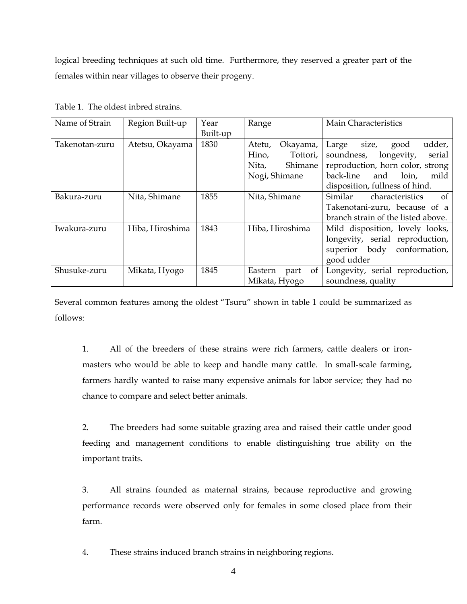logical breeding techniques at such old time. Furthermore, they reserved a greater part of the females within near villages to observe their progeny.

|  | Table 1. The oldest inbred strains. |
|--|-------------------------------------|
|--|-------------------------------------|

| Name of Strain | Region Built-up | Year     | Range                 | Main Characteristics               |  |  |
|----------------|-----------------|----------|-----------------------|------------------------------------|--|--|
|                |                 | Built-up |                       |                                    |  |  |
| Takenotan-zuru | Atetsu, Okayama | 1830     | Okayama,<br>Atetu,    | udder,<br>Large<br>good<br>size,   |  |  |
|                |                 |          | Hino,<br>Tottori,     | soundness,<br>longevity,<br>serial |  |  |
|                |                 |          | Shimane<br>Nita,      | reproduction, horn color, strong   |  |  |
|                |                 |          | Nogi, Shimane         | back-line<br>and<br>loin,<br>mild  |  |  |
|                |                 |          |                       | disposition, fullness of hind.     |  |  |
| Bakura-zuru    | Nita, Shimane   | 1855     | Nita, Shimane         | Similar<br>characteristics<br>0t   |  |  |
|                |                 |          |                       | Takenotani-zuru, because of a      |  |  |
|                |                 |          |                       | branch strain of the listed above. |  |  |
| Iwakura-zuru   | Hiba, Hiroshima | 1843     | Hiba, Hiroshima       | Mild disposition, lovely looks,    |  |  |
|                |                 |          |                       | longevity, serial reproduction,    |  |  |
|                |                 |          |                       | superior body conformation,        |  |  |
|                |                 |          |                       | good udder                         |  |  |
| Shusuke-zuru   | Mikata, Hyogo   | 1845     | of<br>Eastern<br>part | Longevity, serial reproduction,    |  |  |
|                |                 |          | Mikata, Hyogo         | soundness, quality                 |  |  |

Several common features among the oldest "Tsuru" shown in table 1 could be summarized as follows:

 1. All of the breeders of these strains were rich farmers, cattle dealers or ironmasters who would be able to keep and handle many cattle. In small-scale farming, farmers hardly wanted to raise many expensive animals for labor service; they had no chance to compare and select better animals.

 2. The breeders had some suitable grazing area and raised their cattle under good feeding and management conditions to enable distinguishing true ability on the important traits.

 3. All strains founded as maternal strains, because reproductive and growing performance records were observed only for females in some closed place from their farm.

4. These strains induced branch strains in neighboring regions.

4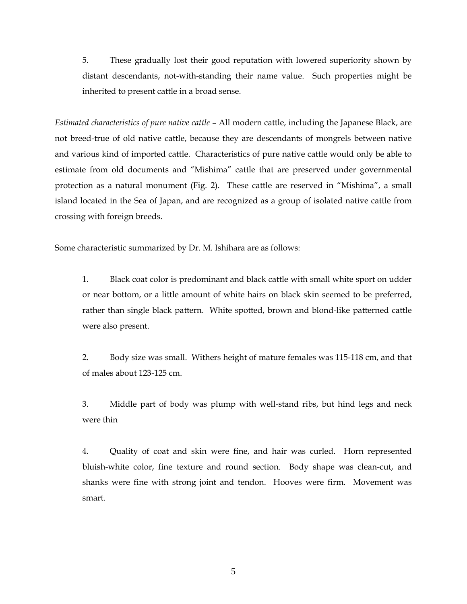5. These gradually lost their good reputation with lowered superiority shown by distant descendants, not-with-standing their name value. Such properties might be inherited to present cattle in a broad sense.

*Estimated characteristics of pure native cattle* – All modern cattle, including the Japanese Black, are not breed-true of old native cattle, because they are descendants of mongrels between native and various kind of imported cattle. Characteristics of pure native cattle would only be able to estimate from old documents and "Mishima" cattle that are preserved under governmental protection as a natural monument (Fig. 2). These cattle are reserved in "Mishima", a small island located in the Sea of Japan, and are recognized as a group of isolated native cattle from crossing with foreign breeds.

Some characteristic summarized by Dr. M. Ishihara are as follows:

 1. Black coat color is predominant and black cattle with small white sport on udder or near bottom, or a little amount of white hairs on black skin seemed to be preferred, rather than single black pattern. White spotted, brown and blond-like patterned cattle were also present.

 2. Body size was small. Withers height of mature females was 115-118 cm, and that of males about 123-125 cm.

 3. Middle part of body was plump with well-stand ribs, but hind legs and neck were thin

 4. Quality of coat and skin were fine, and hair was curled. Horn represented bluish-white color, fine texture and round section. Body shape was clean-cut, and shanks were fine with strong joint and tendon. Hooves were firm. Movement was smart.

5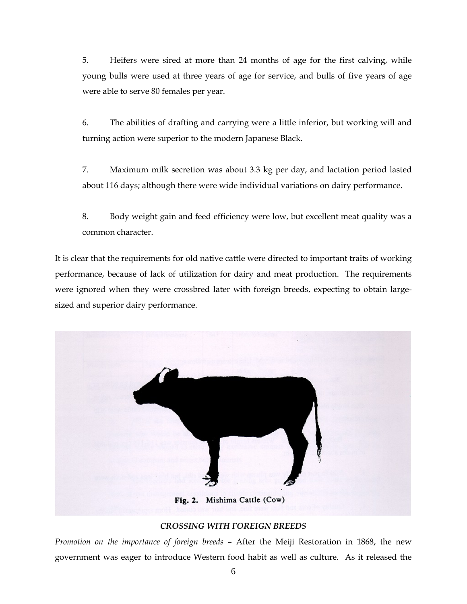5. Heifers were sired at more than 24 months of age for the first calving, while young bulls were used at three years of age for service, and bulls of five years of age were able to serve 80 females per year.

 6. The abilities of drafting and carrying were a little inferior, but working will and turning action were superior to the modern Japanese Black.

 7. Maximum milk secretion was about 3.3 kg per day, and lactation period lasted about 116 days; although there were wide individual variations on dairy performance.

 8. Body weight gain and feed efficiency were low, but excellent meat quality was a common character.

It is clear that the requirements for old native cattle were directed to important traits of working performance, because of lack of utilization for dairy and meat production. The requirements were ignored when they were crossbred later with foreign breeds, expecting to obtain largesized and superior dairy performance.



## *CROSSING WITH FOREIGN BREEDS*

*Promotion on the importance of foreign breeds* – After the Meiji Restoration in 1868, the new government was eager to introduce Western food habit as well as culture. As it released the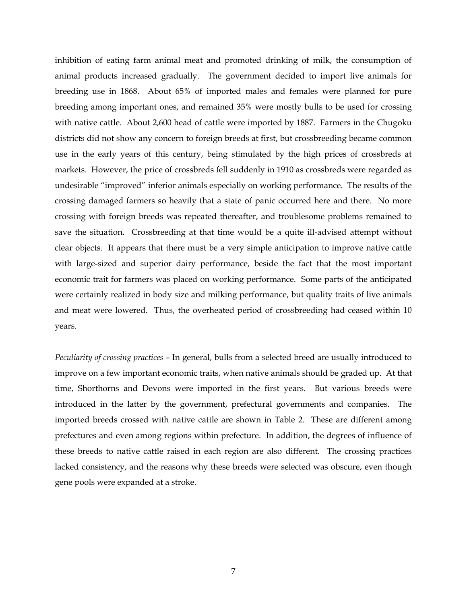inhibition of eating farm animal meat and promoted drinking of milk, the consumption of animal products increased gradually. The government decided to import live animals for breeding use in 1868. About 65% of imported males and females were planned for pure breeding among important ones, and remained 35% were mostly bulls to be used for crossing with native cattle. About 2,600 head of cattle were imported by 1887. Farmers in the Chugoku districts did not show any concern to foreign breeds at first, but crossbreeding became common use in the early years of this century, being stimulated by the high prices of crossbreds at markets. However, the price of crossbreds fell suddenly in 1910 as crossbreds were regarded as undesirable "improved" inferior animals especially on working performance. The results of the crossing damaged farmers so heavily that a state of panic occurred here and there. No more crossing with foreign breeds was repeated thereafter, and troublesome problems remained to save the situation. Crossbreeding at that time would be a quite ill-advised attempt without clear objects. It appears that there must be a very simple anticipation to improve native cattle with large-sized and superior dairy performance, beside the fact that the most important economic trait for farmers was placed on working performance. Some parts of the anticipated were certainly realized in body size and milking performance, but quality traits of live animals and meat were lowered. Thus, the overheated period of crossbreeding had ceased within 10 years.

*Peculiarity of crossing practices* – In general, bulls from a selected breed are usually introduced to improve on a few important economic traits, when native animals should be graded up. At that time, Shorthorns and Devons were imported in the first years. But various breeds were introduced in the latter by the government, prefectural governments and companies. The imported breeds crossed with native cattle are shown in Table 2. These are different among prefectures and even among regions within prefecture. In addition, the degrees of influence of these breeds to native cattle raised in each region are also different. The crossing practices lacked consistency, and the reasons why these breeds were selected was obscure, even though gene pools were expanded at a stroke.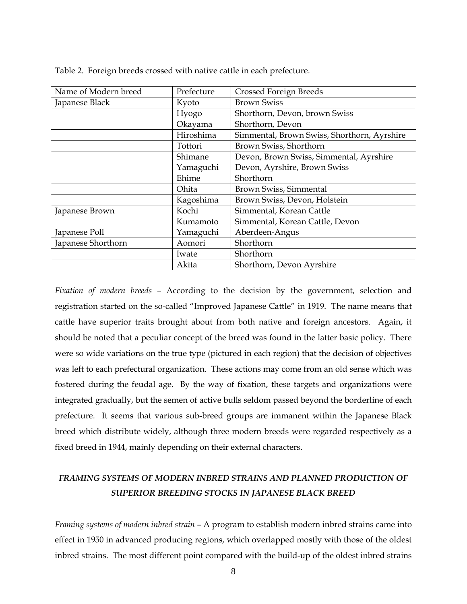| Name of Modern breed | Prefecture | <b>Crossed Foreign Breeds</b>               |
|----------------------|------------|---------------------------------------------|
| Japanese Black       | Kyoto      | <b>Brown Swiss</b>                          |
|                      | Hyogo      | Shorthorn, Devon, brown Swiss               |
|                      | Okayama    | Shorthorn, Devon                            |
|                      | Hiroshima  | Simmental, Brown Swiss, Shorthorn, Ayrshire |
|                      | Tottori    | Brown Swiss, Shorthorn                      |
|                      | Shimane    | Devon, Brown Swiss, Simmental, Ayrshire     |
|                      | Yamaguchi  | Devon, Ayrshire, Brown Swiss                |
|                      | Ehime      | Shorthorn                                   |
|                      | Ohita      | Brown Swiss, Simmental                      |
|                      | Kagoshima  | Brown Swiss, Devon, Holstein                |
| Japanese Brown       | Kochi      | Simmental, Korean Cattle                    |
|                      | Kumamoto   | Simmental, Korean Cattle, Devon             |
| Japanese Poll        | Yamaguchi  | Aberdeen-Angus                              |
| Japanese Shorthorn   | Aomori     | Shorthorn                                   |
|                      | Iwate      | Shorthorn                                   |
|                      | Akita      | Shorthorn, Devon Ayrshire                   |

Table 2. Foreign breeds crossed with native cattle in each prefecture.

*Fixation of modern breeds –* According to the decision by the government, selection and registration started on the so-called "Improved Japanese Cattle" in 1919. The name means that cattle have superior traits brought about from both native and foreign ancestors. Again, it should be noted that a peculiar concept of the breed was found in the latter basic policy. There were so wide variations on the true type (pictured in each region) that the decision of objectives was left to each prefectural organization. These actions may come from an old sense which was fostered during the feudal age. By the way of fixation, these targets and organizations were integrated gradually, but the semen of active bulls seldom passed beyond the borderline of each prefecture. It seems that various sub-breed groups are immanent within the Japanese Black breed which distribute widely, although three modern breeds were regarded respectively as a fixed breed in 1944, mainly depending on their external characters.

# *FRAMING SYSTEMS OF MODERN INBRED STRAINS AND PLANNED PRODUCTION OF SUPERIOR BREEDING STOCKS IN JAPANESE BLACK BREED*

*Framing systems of modern inbred strain* – A program to establish modern inbred strains came into effect in 1950 in advanced producing regions, which overlapped mostly with those of the oldest inbred strains. The most different point compared with the build-up of the oldest inbred strains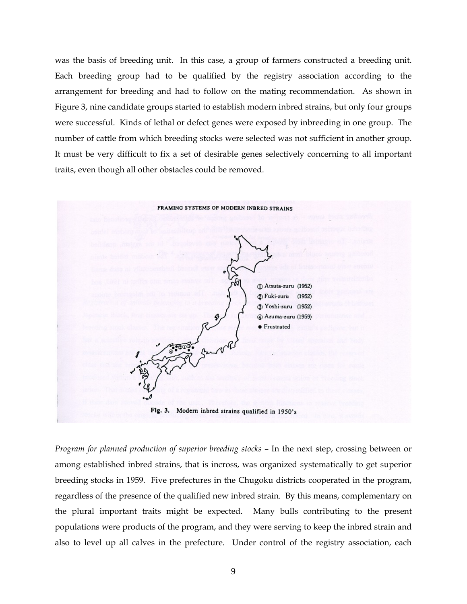was the basis of breeding unit. In this case, a group of farmers constructed a breeding unit. Each breeding group had to be qualified by the registry association according to the arrangement for breeding and had to follow on the mating recommendation. As shown in Figure 3, nine candidate groups started to establish modern inbred strains, but only four groups were successful. Kinds of lethal or defect genes were exposed by inbreeding in one group. The number of cattle from which breeding stocks were selected was not sufficient in another group. It must be very difficult to fix a set of desirable genes selectively concerning to all important traits, even though all other obstacles could be removed.



*Program for planned production of superior breeding stocks* – In the next step, crossing between or among established inbred strains, that is incross, was organized systematically to get superior breeding stocks in 1959. Five prefectures in the Chugoku districts cooperated in the program, regardless of the presence of the qualified new inbred strain. By this means, complementary on the plural important traits might be expected. Many bulls contributing to the present populations were products of the program, and they were serving to keep the inbred strain and also to level up all calves in the prefecture. Under control of the registry association, each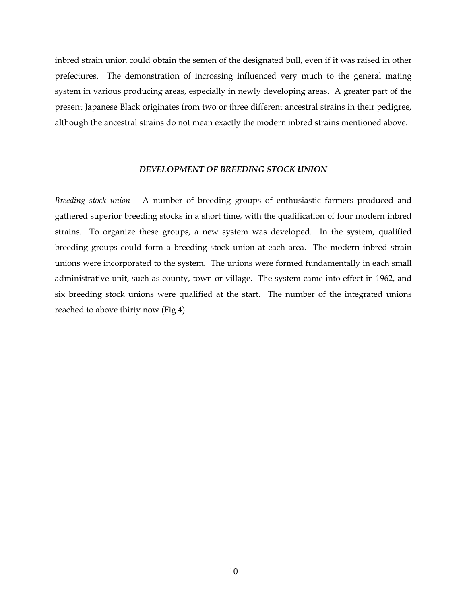inbred strain union could obtain the semen of the designated bull, even if it was raised in other prefectures. The demonstration of incrossing influenced very much to the general mating system in various producing areas, especially in newly developing areas. A greater part of the present Japanese Black originates from two or three different ancestral strains in their pedigree, although the ancestral strains do not mean exactly the modern inbred strains mentioned above.

#### *DEVELOPMENT OF BREEDING STOCK UNION*

*Breeding stock union* – A number of breeding groups of enthusiastic farmers produced and gathered superior breeding stocks in a short time, with the qualification of four modern inbred strains. To organize these groups, a new system was developed. In the system, qualified breeding groups could form a breeding stock union at each area. The modern inbred strain unions were incorporated to the system. The unions were formed fundamentally in each small administrative unit, such as county, town or village. The system came into effect in 1962, and six breeding stock unions were qualified at the start. The number of the integrated unions reached to above thirty now (Fig.4).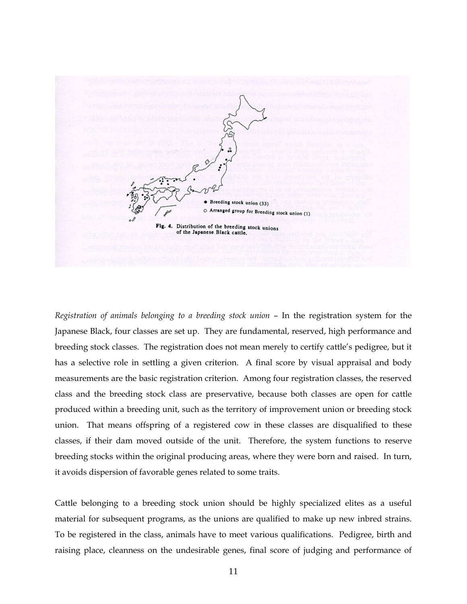

*Registration of animals belonging to a breeding stock union* – In the registration system for the Japanese Black, four classes are set up. They are fundamental, reserved, high performance and breeding stock classes. The registration does not mean merely to certify cattle's pedigree, but it has a selective role in settling a given criterion. A final score by visual appraisal and body measurements are the basic registration criterion. Among four registration classes, the reserved class and the breeding stock class are preservative, because both classes are open for cattle produced within a breeding unit, such as the territory of improvement union or breeding stock union. That means offspring of a registered cow in these classes are disqualified to these classes, if their dam moved outside of the unit. Therefore, the system functions to reserve breeding stocks within the original producing areas, where they were born and raised. In turn, it avoids dispersion of favorable genes related to some traits.

Cattle belonging to a breeding stock union should be highly specialized elites as a useful material for subsequent programs, as the unions are qualified to make up new inbred strains. To be registered in the class, animals have to meet various qualifications. Pedigree, birth and raising place, cleanness on the undesirable genes, final score of judging and performance of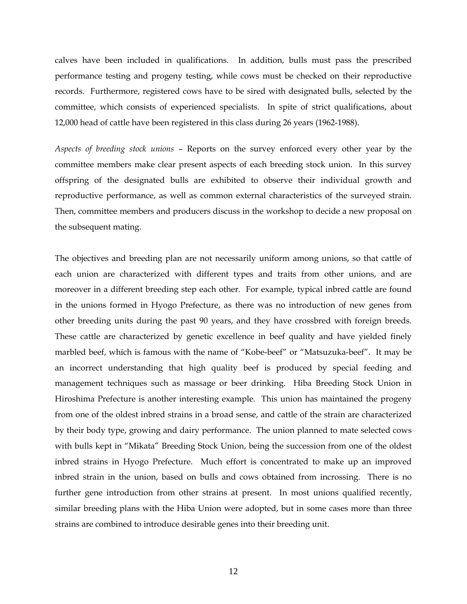calves have been included in qualifications. In addition, bulls must pass the prescribed performance testing and progeny testing, while cows must be checked on their reproductive records. Furthermore, registered cows have to be sired with designated bulls, selected by the committee, which consists of experienced specialists. In spite of strict qualifications, about 12,000 head of cattle have been registered in this class during 26 years (1962-1988).

*Aspects of breeding stock unions* – Reports on the survey enforced every other year by the committee members make clear present aspects of each breeding stock union. In this survey offspring of the designated bulls are exhibited to observe their individual growth and reproductive performance, as well as common external characteristics of the surveyed strain. Then, committee members and producers discuss in the workshop to decide a new proposal on the subsequent mating.

The objectives and breeding plan are not necessarily uniform among unions, so that cattle of each union are characterized with different types and traits from other unions, and are moreover in a different breeding step each other. For example, typical inbred cattle are found in the unions formed in Hyogo Prefecture, as there was no introduction of new genes from other breeding units during the past 90 years, and they have crossbred with foreign breeds. These cattle are characterized by genetic excellence in beef quality and have yielded finely marbled beef, which is famous with the name of "Kobe-beef" or "Matsuzuka-beef". It may be an incorrect understanding that high quality beef is produced by special feeding and management techniques such as massage or beer drinking. Hiba Breeding Stock Union in Hiroshima Prefecture is another interesting example. This union has maintained the progeny from one of the oldest inbred strains in a broad sense, and cattle of the strain are characterized by their body type, growing and dairy performance. The union planned to mate selected cows with bulls kept in "Mikata" Breeding Stock Union, being the succession from one of the oldest inbred strains in Hyogo Prefecture. Much effort is concentrated to make up an improved inbred strain in the union, based on bulls and cows obtained from incrossing. There is no further gene introduction from other strains at present. In most unions qualified recently, similar breeding plans with the Hiba Union were adopted, but in some cases more than three strains are combined to introduce desirable genes into their breeding unit.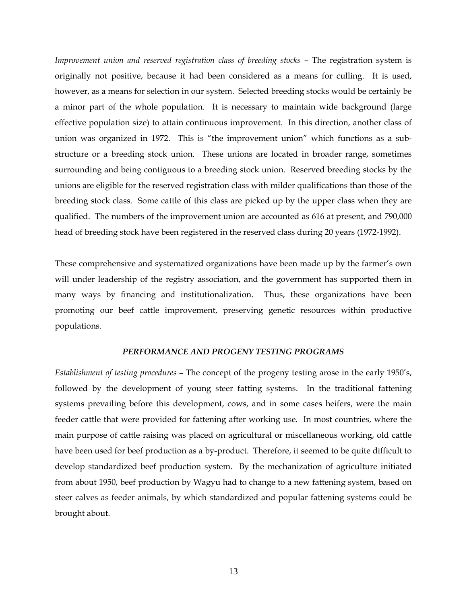*Improvement union and reserved registration class of breeding stocks – The registration system is* originally not positive, because it had been considered as a means for culling. It is used, however, as a means for selection in our system. Selected breeding stocks would be certainly be a minor part of the whole population. It is necessary to maintain wide background (large effective population size) to attain continuous improvement. In this direction, another class of union was organized in 1972. This is "the improvement union" which functions as a substructure or a breeding stock union. These unions are located in broader range, sometimes surrounding and being contiguous to a breeding stock union. Reserved breeding stocks by the unions are eligible for the reserved registration class with milder qualifications than those of the breeding stock class. Some cattle of this class are picked up by the upper class when they are qualified. The numbers of the improvement union are accounted as 616 at present, and 790,000 head of breeding stock have been registered in the reserved class during 20 years (1972-1992).

These comprehensive and systematized organizations have been made up by the farmer's own will under leadership of the registry association, and the government has supported them in many ways by financing and institutionalization. Thus, these organizations have been promoting our beef cattle improvement, preserving genetic resources within productive populations.

#### *PERFORMANCE AND PROGENY TESTING PROGRAMS*

*Establishment of testing procedures* – The concept of the progeny testing arose in the early 1950's, followed by the development of young steer fatting systems. In the traditional fattening systems prevailing before this development, cows, and in some cases heifers, were the main feeder cattle that were provided for fattening after working use. In most countries, where the main purpose of cattle raising was placed on agricultural or miscellaneous working, old cattle have been used for beef production as a by-product. Therefore, it seemed to be quite difficult to develop standardized beef production system. By the mechanization of agriculture initiated from about 1950, beef production by Wagyu had to change to a new fattening system, based on steer calves as feeder animals, by which standardized and popular fattening systems could be brought about.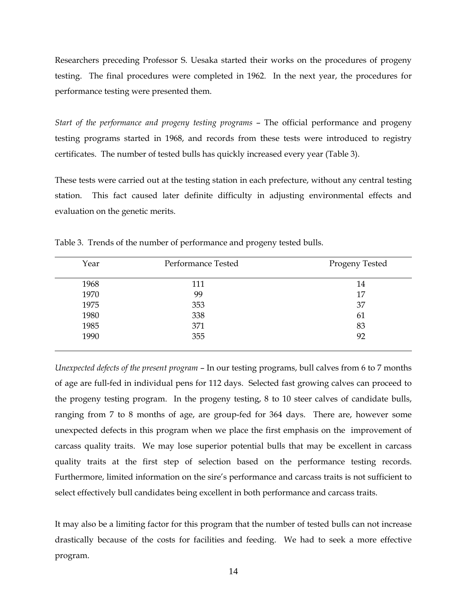Researchers preceding Professor S. Uesaka started their works on the procedures of progeny testing. The final procedures were completed in 1962. In the next year, the procedures for performance testing were presented them.

*Start of the performance and progeny testing programs* – The official performance and progeny testing programs started in 1968, and records from these tests were introduced to registry certificates. The number of tested bulls has quickly increased every year (Table 3).

These tests were carried out at the testing station in each prefecture, without any central testing station. This fact caused later definite difficulty in adjusting environmental effects and evaluation on the genetic merits.

| Year | Performance Tested | <b>Progeny Tested</b> |
|------|--------------------|-----------------------|
| 1968 | 111                | 14                    |
| 1970 | 99                 | 17                    |
| 1975 | 353                | 37                    |
| 1980 | 338                | 61                    |
| 1985 | 371                | 83                    |
| 1990 | 355                | 92                    |
|      |                    |                       |

Table 3. Trends of the number of performance and progeny tested bulls.

*Unexpected defects of the present program* – In our testing programs, bull calves from 6 to 7 months of age are full-fed in individual pens for 112 days. Selected fast growing calves can proceed to the progeny testing program. In the progeny testing, 8 to 10 steer calves of candidate bulls, ranging from 7 to 8 months of age, are group-fed for 364 days. There are, however some unexpected defects in this program when we place the first emphasis on the improvement of carcass quality traits. We may lose superior potential bulls that may be excellent in carcass quality traits at the first step of selection based on the performance testing records. Furthermore, limited information on the sire's performance and carcass traits is not sufficient to select effectively bull candidates being excellent in both performance and carcass traits.

It may also be a limiting factor for this program that the number of tested bulls can not increase drastically because of the costs for facilities and feeding. We had to seek a more effective program.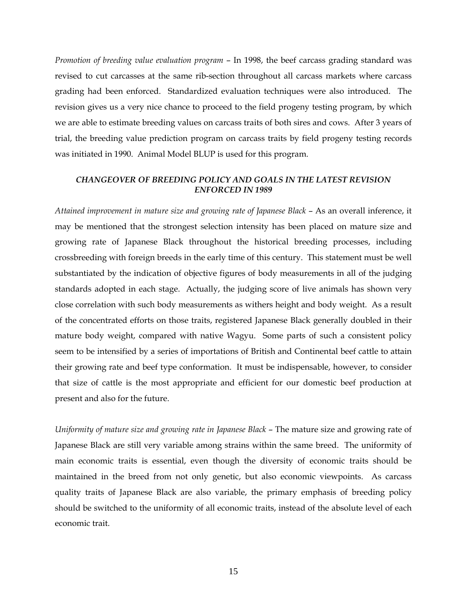*Promotion of breeding value evaluation program* – In 1998, the beef carcass grading standard was revised to cut carcasses at the same rib-section throughout all carcass markets where carcass grading had been enforced. Standardized evaluation techniques were also introduced. The revision gives us a very nice chance to proceed to the field progeny testing program, by which we are able to estimate breeding values on carcass traits of both sires and cows. After 3 years of trial, the breeding value prediction program on carcass traits by field progeny testing records was initiated in 1990. Animal Model BLUP is used for this program.

#### *CHANGEOVER OF BREEDING POLICY AND GOALS IN THE LATEST REVISION ENFORCED IN 1989*

*Attained improvement in mature size and growing rate of Japanese Black* – As an overall inference, it may be mentioned that the strongest selection intensity has been placed on mature size and growing rate of Japanese Black throughout the historical breeding processes, including crossbreeding with foreign breeds in the early time of this century. This statement must be well substantiated by the indication of objective figures of body measurements in all of the judging standards adopted in each stage. Actually, the judging score of live animals has shown very close correlation with such body measurements as withers height and body weight. As a result of the concentrated efforts on those traits, registered Japanese Black generally doubled in their mature body weight, compared with native Wagyu. Some parts of such a consistent policy seem to be intensified by a series of importations of British and Continental beef cattle to attain their growing rate and beef type conformation. It must be indispensable, however, to consider that size of cattle is the most appropriate and efficient for our domestic beef production at present and also for the future.

*Uniformity of mature size and growing rate in Japanese Black* – The mature size and growing rate of Japanese Black are still very variable among strains within the same breed. The uniformity of main economic traits is essential, even though the diversity of economic traits should be maintained in the breed from not only genetic, but also economic viewpoints. As carcass quality traits of Japanese Black are also variable, the primary emphasis of breeding policy should be switched to the uniformity of all economic traits, instead of the absolute level of each economic trait.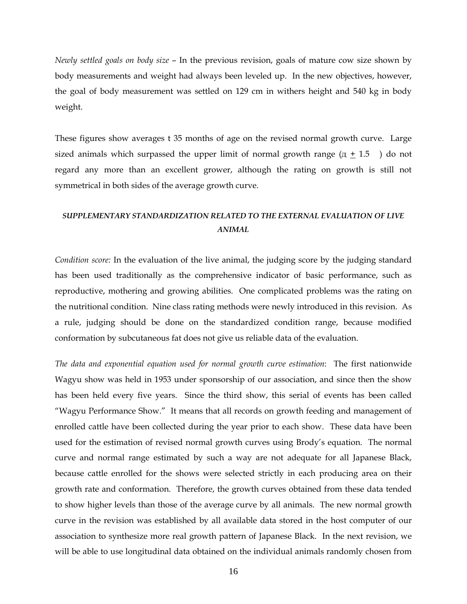*Newly settled goals on body size* – In the previous revision, goals of mature cow size shown by body measurements and weight had always been leveled up. In the new objectives, however, the goal of body measurement was settled on 129 cm in withers height and 540 kg in body weight.

These figures show averages t 35 months of age on the revised normal growth curve. Large sized animals which surpassed the upper limit of normal growth range  $(\pi + 1.5)$  do not regard any more than an excellent grower, although the rating on growth is still not symmetrical in both sides of the average growth curve.

## *SUPPLEMENTARY STANDARDIZATION RELATED TO THE EXTERNAL EVALUATION OF LIVE ANIMAL*

*Condition score:* In the evaluation of the live animal, the judging score by the judging standard has been used traditionally as the comprehensive indicator of basic performance, such as reproductive, mothering and growing abilities. One complicated problems was the rating on the nutritional condition. Nine class rating methods were newly introduced in this revision. As a rule, judging should be done on the standardized condition range, because modified conformation by subcutaneous fat does not give us reliable data of the evaluation.

*The data and exponential equation used for normal growth curve estimation*: The first nationwide Wagyu show was held in 1953 under sponsorship of our association, and since then the show has been held every five years. Since the third show, this serial of events has been called "Wagyu Performance Show." It means that all records on growth feeding and management of enrolled cattle have been collected during the year prior to each show. These data have been used for the estimation of revised normal growth curves using Brody's equation. The normal curve and normal range estimated by such a way are not adequate for all Japanese Black, because cattle enrolled for the shows were selected strictly in each producing area on their growth rate and conformation. Therefore, the growth curves obtained from these data tended to show higher levels than those of the average curve by all animals. The new normal growth curve in the revision was established by all available data stored in the host computer of our association to synthesize more real growth pattern of Japanese Black. In the next revision, we will be able to use longitudinal data obtained on the individual animals randomly chosen from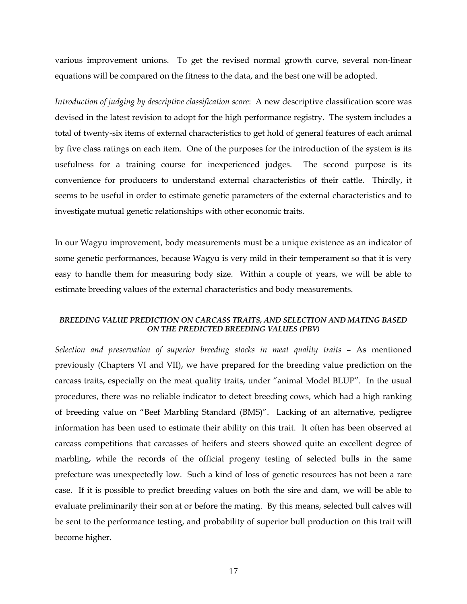various improvement unions. To get the revised normal growth curve, several non-linear equations will be compared on the fitness to the data, and the best one will be adopted.

*Introduction of judging by descriptive classification score*: A new descriptive classification score was devised in the latest revision to adopt for the high performance registry. The system includes a total of twenty-six items of external characteristics to get hold of general features of each animal by five class ratings on each item. One of the purposes for the introduction of the system is its usefulness for a training course for inexperienced judges. The second purpose is its convenience for producers to understand external characteristics of their cattle. Thirdly, it seems to be useful in order to estimate genetic parameters of the external characteristics and to investigate mutual genetic relationships with other economic traits.

In our Wagyu improvement, body measurements must be a unique existence as an indicator of some genetic performances, because Wagyu is very mild in their temperament so that it is very easy to handle them for measuring body size. Within a couple of years, we will be able to estimate breeding values of the external characteristics and body measurements.

#### *BREEDING VALUE PREDICTION ON CARCASS TRAITS, AND SELECTION AND MATING BASED ON THE PREDICTED BREEDING VALUES (PBV)*

*Selection and preservation of superior breeding stocks in meat quality traits* – As mentioned previously (Chapters VI and VII), we have prepared for the breeding value prediction on the carcass traits, especially on the meat quality traits, under "animal Model BLUP". In the usual procedures, there was no reliable indicator to detect breeding cows, which had a high ranking of breeding value on "Beef Marbling Standard (BMS)". Lacking of an alternative, pedigree information has been used to estimate their ability on this trait. It often has been observed at carcass competitions that carcasses of heifers and steers showed quite an excellent degree of marbling, while the records of the official progeny testing of selected bulls in the same prefecture was unexpectedly low. Such a kind of loss of genetic resources has not been a rare case. If it is possible to predict breeding values on both the sire and dam, we will be able to evaluate preliminarily their son at or before the mating. By this means, selected bull calves will be sent to the performance testing, and probability of superior bull production on this trait will become higher.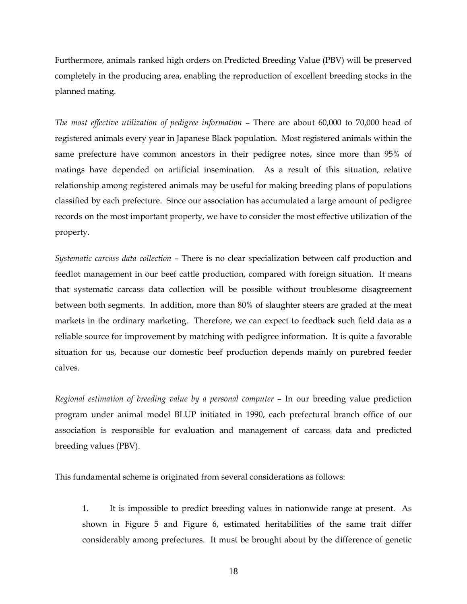Furthermore, animals ranked high orders on Predicted Breeding Value (PBV) will be preserved completely in the producing area, enabling the reproduction of excellent breeding stocks in the planned mating.

*The most effective utilization of pedigree information* – There are about 60,000 to 70,000 head of registered animals every year in Japanese Black population. Most registered animals within the same prefecture have common ancestors in their pedigree notes, since more than 95% of matings have depended on artificial insemination. As a result of this situation, relative relationship among registered animals may be useful for making breeding plans of populations classified by each prefecture. Since our association has accumulated a large amount of pedigree records on the most important property, we have to consider the most effective utilization of the property.

*Systematic carcass data collection* – There is no clear specialization between calf production and feedlot management in our beef cattle production, compared with foreign situation. It means that systematic carcass data collection will be possible without troublesome disagreement between both segments. In addition, more than 80% of slaughter steers are graded at the meat markets in the ordinary marketing. Therefore, we can expect to feedback such field data as a reliable source for improvement by matching with pedigree information. It is quite a favorable situation for us, because our domestic beef production depends mainly on purebred feeder calves.

*Regional estimation of breeding value by a personal computer* – In our breeding value prediction program under animal model BLUP initiated in 1990, each prefectural branch office of our association is responsible for evaluation and management of carcass data and predicted breeding values (PBV).

This fundamental scheme is originated from several considerations as follows:

 1. It is impossible to predict breeding values in nationwide range at present. As shown in Figure 5 and Figure 6, estimated heritabilities of the same trait differ considerably among prefectures. It must be brought about by the difference of genetic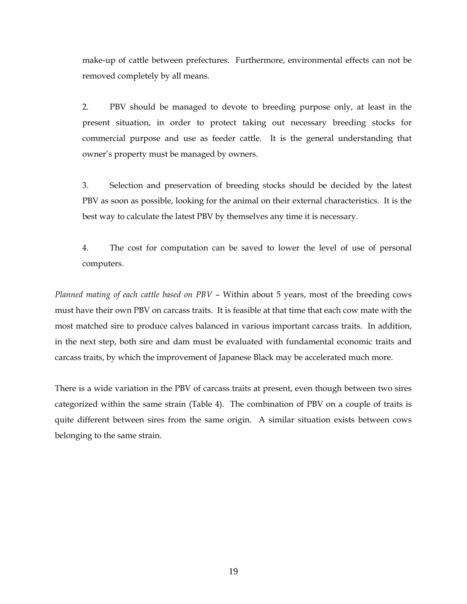make-up of cattle between prefectures. Furthermore, environmental effects can not be removed completely by all means.

 2. PBV should be managed to devote to breeding purpose only, at least in the present situation, in order to protect taking out necessary breeding stocks for commercial purpose and use as feeder cattle. It is the general understanding that owner's property must be managed by owners.

 3. Selection and preservation of breeding stocks should be decided by the latest PBV as soon as possible, looking for the animal on their external characteristics. It is the best way to calculate the latest PBV by themselves any time it is necessary.

 4. The cost for computation can be saved to lower the level of use of personal computers.

*Planned mating of each cattle based on PBV* – Within about 5 years, most of the breeding cows must have their own PBV on carcass traits. It is feasible at that time that each cow mate with the most matched sire to produce calves balanced in various important carcass traits. In addition, in the next step, both sire and dam must be evaluated with fundamental economic traits and carcass traits, by which the improvement of Japanese Black may be accelerated much more.

There is a wide variation in the PBV of carcass traits at present, even though between two sires categorized within the same strain (Table 4). The combination of PBV on a couple of traits is quite different between sires from the same origin. A similar situation exists between cows belonging to the same strain.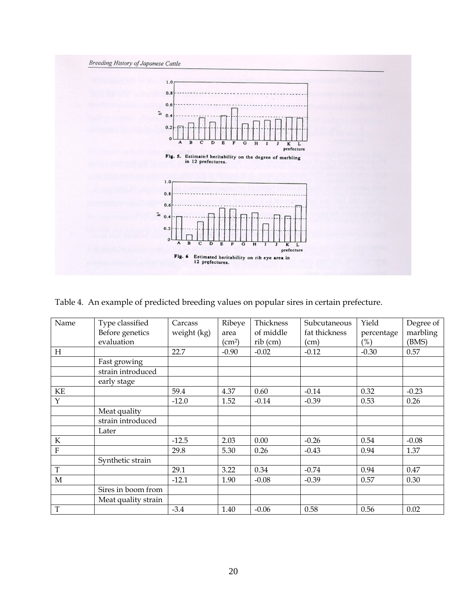

Table 4. An example of predicted breeding values on popular sires in certain prefecture.

| Name        | Type classified     | Carcass     | Ribeye             | Thickness  | Subcutaneous  | Yield      | Degree of |
|-------------|---------------------|-------------|--------------------|------------|---------------|------------|-----------|
|             | Before genetics     | weight (kg) | area               | of middle  | fat thickness | percentage | marbling  |
|             | evaluation          |             | (cm <sup>2</sup> ) | $rib$ (cm) | (cm)          | $(\%)$     | (BMS)     |
| H           |                     | 22.7        | $-0.90$            | $-0.02$    | $-0.12$       | $-0.30$    | 0.57      |
|             | Fast growing        |             |                    |            |               |            |           |
|             | strain introduced   |             |                    |            |               |            |           |
|             | early stage         |             |                    |            |               |            |           |
| KE          |                     | 59.4        | 4.37               | 0.60       | $-0.14$       | 0.32       | $-0.23$   |
| Y           |                     | $-12.0$     | 1.52               | $-0.14$    | $-0.39$       | 0.53       | 0.26      |
|             | Meat quality        |             |                    |            |               |            |           |
|             | strain introduced   |             |                    |            |               |            |           |
|             | Later               |             |                    |            |               |            |           |
| $\rm K$     |                     | $-12.5$     | 2.03               | 0.00       | $-0.26$       | 0.54       | $-0.08$   |
| F           |                     | 29.8        | 5.30               | 0.26       | $-0.43$       | 0.94       | 1.37      |
|             | Synthetic strain    |             |                    |            |               |            |           |
| $\mathbf T$ |                     | 29.1        | 3.22               | 0.34       | $-0.74$       | 0.94       | 0.47      |
| М           |                     | $-12.1$     | 1.90               | $-0.08$    | $-0.39$       | 0.57       | 0.30      |
|             | Sires in boom from  |             |                    |            |               |            |           |
|             | Meat quality strain |             |                    |            |               |            |           |
| $\mathbf T$ |                     | $-3.4$      | 1.40               | $-0.06$    | 0.58          | 0.56       | 0.02      |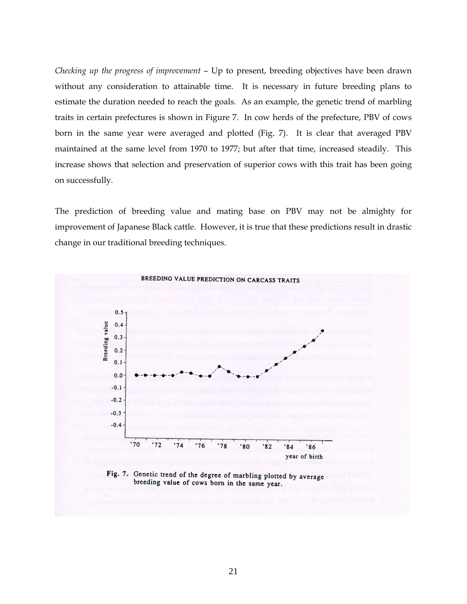*Checking up the progress of improvement* – Up to present, breeding objectives have been drawn without any consideration to attainable time. It is necessary in future breeding plans to estimate the duration needed to reach the goals. As an example, the genetic trend of marbling traits in certain prefectures is shown in Figure 7. In cow herds of the prefecture, PBV of cows born in the same year were averaged and plotted (Fig. 7). It is clear that averaged PBV maintained at the same level from 1970 to 1977; but after that time, increased steadily. This increase shows that selection and preservation of superior cows with this trait has been going on successfully.

The prediction of breeding value and mating base on PBV may not be almighty for improvement of Japanese Black cattle. However, it is true that these predictions result in drastic change in our traditional breeding techniques.



Fig. 7. Genetic trend of the degree of marbling plotted by average breeding value of cows born in the same year.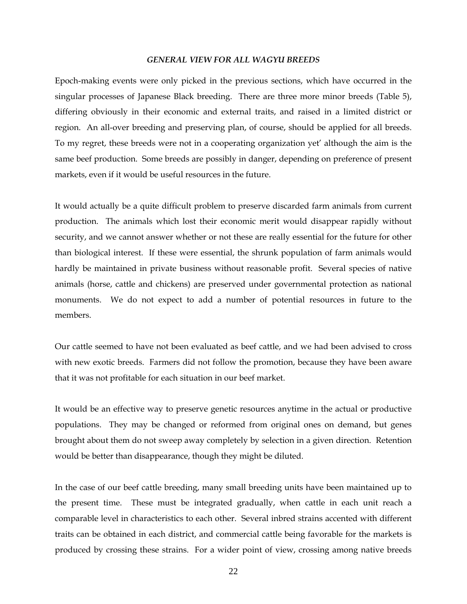#### *GENERAL VIEW FOR ALL WAGYU BREEDS*

Epoch-making events were only picked in the previous sections, which have occurred in the singular processes of Japanese Black breeding. There are three more minor breeds (Table 5), differing obviously in their economic and external traits, and raised in a limited district or region. An all-over breeding and preserving plan, of course, should be applied for all breeds. To my regret, these breeds were not in a cooperating organization yet' although the aim is the same beef production. Some breeds are possibly in danger, depending on preference of present markets, even if it would be useful resources in the future.

It would actually be a quite difficult problem to preserve discarded farm animals from current production. The animals which lost their economic merit would disappear rapidly without security, and we cannot answer whether or not these are really essential for the future for other than biological interest. If these were essential, the shrunk population of farm animals would hardly be maintained in private business without reasonable profit. Several species of native animals (horse, cattle and chickens) are preserved under governmental protection as national monuments. We do not expect to add a number of potential resources in future to the members.

Our cattle seemed to have not been evaluated as beef cattle, and we had been advised to cross with new exotic breeds. Farmers did not follow the promotion, because they have been aware that it was not profitable for each situation in our beef market.

It would be an effective way to preserve genetic resources anytime in the actual or productive populations. They may be changed or reformed from original ones on demand, but genes brought about them do not sweep away completely by selection in a given direction. Retention would be better than disappearance, though they might be diluted.

In the case of our beef cattle breeding, many small breeding units have been maintained up to the present time. These must be integrated gradually, when cattle in each unit reach a comparable level in characteristics to each other. Several inbred strains accented with different traits can be obtained in each district, and commercial cattle being favorable for the markets is produced by crossing these strains. For a wider point of view, crossing among native breeds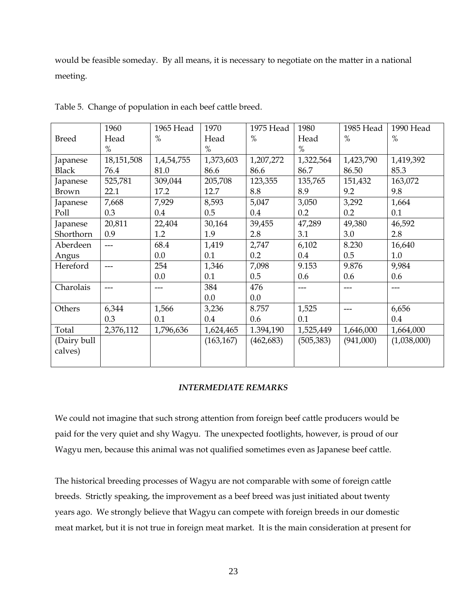would be feasible someday. By all means, it is necessary to negotiate on the matter in a national meeting.

|              | 1960       | 1965 Head  | 1970       | 1975 Head  | 1980       | 1985 Head | 1990 Head   |
|--------------|------------|------------|------------|------------|------------|-----------|-------------|
| <b>Breed</b> | Head       | $\%$       | Head       | $\%$       | Head       | $\%$      | $\%$        |
|              | $\%$       |            | $\%$       |            | $\%$       |           |             |
| Japanese     | 18,151,508 | 1,4,54,755 | 1,373,603  | 1,207,272  | 1,322,564  | 1,423,790 | 1,419,392   |
| <b>Black</b> | 76.4       | 81.0       | 86.6       | 86.6       | 86.7       | 86.50     | 85.3        |
| Japanese     | 525,781    | 309,044    | 205,708    | 123,355    | 135,765    | 151,432   | 163,072     |
| Brown        | 22.1       | 17.2       | 12.7       | 8.8        | 8.9        | 9.2       | 9.8         |
| Japanese     | 7,668      | 7,929      | 8,593      | 5,047      | 3,050      | 3,292     | 1,664       |
| Poll         | 0.3        | 0.4        | 0.5        | 0.4        | 0.2        | 0.2       | 0.1         |
| Japanese     | 20,811     | 22,404     | 30,164     | 39,455     | 47,289     | 49,380    | 46,592      |
| Shorthorn    | 0.9        | 1.2        | 1.9        | 2.8        | 3.1        | 3.0       | 2.8         |
| Aberdeen     | $---$      | 68.4       | 1,419      | 2,747      | 6,102      | 8.230     | 16,640      |
| Angus        |            | 0.0        | 0.1        | 0.2        | 0.4        | 0.5       | 1.0         |
| Hereford     | $---$      | 254        | 1,346      | 7,098      | 9.153      | 9.876     | 9,984       |
|              |            | 0.0        | 0.1        | 0.5        | 0.6        | 0.6       | 0.6         |
| Charolais    |            | ---        | 384        | 476        | ---        | ---       | ---         |
|              |            |            | 0.0        | 0.0        |            |           |             |
| Others       | 6,344      | 1,566      | 3,236      | 8.757      | 1,525      | $---$     | 6,656       |
|              | 0.3        | 0.1        | 0.4        | 0.6        | 0.1        |           | 0.4         |
| Total        | 2,376,112  | 1,796,636  | 1,624,465  | 1.394,190  | 1,525,449  | 1,646,000 | 1,664,000   |
| (Dairy bull  |            |            | (163, 167) | (462, 683) | (505, 383) | (941,000) | (1,038,000) |
| calves)      |            |            |            |            |            |           |             |
|              |            |            |            |            |            |           |             |

Table 5. Change of population in each beef cattle breed.

#### *INTERMEDIATE REMARKS*

We could not imagine that such strong attention from foreign beef cattle producers would be paid for the very quiet and shy Wagyu. The unexpected footlights, however, is proud of our Wagyu men, because this animal was not qualified sometimes even as Japanese beef cattle.

The historical breeding processes of Wagyu are not comparable with some of foreign cattle breeds. Strictly speaking, the improvement as a beef breed was just initiated about twenty years ago. We strongly believe that Wagyu can compete with foreign breeds in our domestic meat market, but it is not true in foreign meat market. It is the main consideration at present for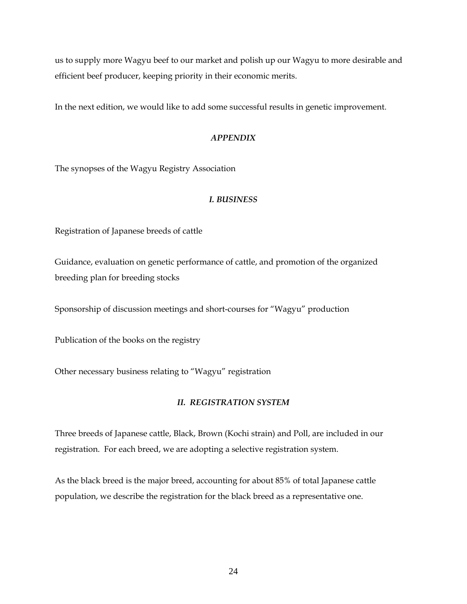us to supply more Wagyu beef to our market and polish up our Wagyu to more desirable and efficient beef producer, keeping priority in their economic merits.

In the next edition, we would like to add some successful results in genetic improvement.

## *APPENDIX*

The synopses of the Wagyu Registry Association

## *I. BUSINESS*

Registration of Japanese breeds of cattle

Guidance, evaluation on genetic performance of cattle, and promotion of the organized breeding plan for breeding stocks

Sponsorship of discussion meetings and short-courses for "Wagyu" production

Publication of the books on the registry

Other necessary business relating to "Wagyu" registration

## *II. REGISTRATION SYSTEM*

Three breeds of Japanese cattle, Black, Brown (Kochi strain) and Poll, are included in our registration. For each breed, we are adopting a selective registration system.

As the black breed is the major breed, accounting for about 85% of total Japanese cattle population, we describe the registration for the black breed as a representative one.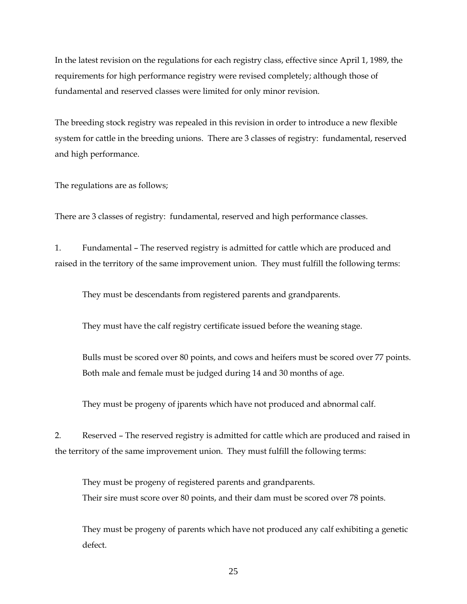In the latest revision on the regulations for each registry class, effective since April 1, 1989, the requirements for high performance registry were revised completely; although those of fundamental and reserved classes were limited for only minor revision.

The breeding stock registry was repealed in this revision in order to introduce a new flexible system for cattle in the breeding unions. There are 3 classes of registry: fundamental, reserved and high performance.

The regulations are as follows;

There are 3 classes of registry: fundamental, reserved and high performance classes.

1. Fundamental – The reserved registry is admitted for cattle which are produced and raised in the territory of the same improvement union. They must fulfill the following terms:

They must be descendants from registered parents and grandparents.

They must have the calf registry certificate issued before the weaning stage.

 Bulls must be scored over 80 points, and cows and heifers must be scored over 77 points. Both male and female must be judged during 14 and 30 months of age.

They must be progeny of jparents which have not produced and abnormal calf.

2. Reserved – The reserved registry is admitted for cattle which are produced and raised in the territory of the same improvement union. They must fulfill the following terms:

 They must be progeny of registered parents and grandparents. Their sire must score over 80 points, and their dam must be scored over 78 points.

 They must be progeny of parents which have not produced any calf exhibiting a genetic defect.

25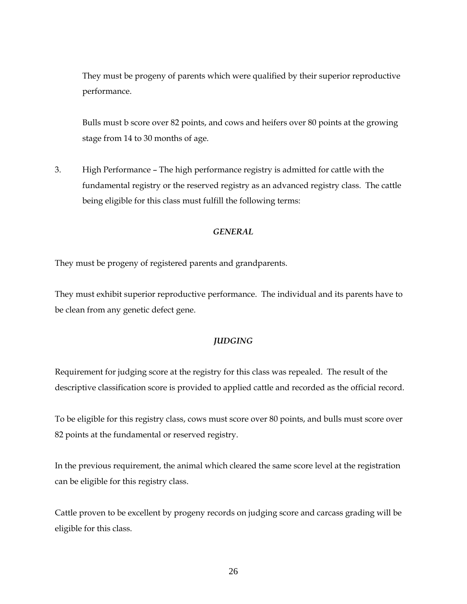They must be progeny of parents which were qualified by their superior reproductive performance.

 Bulls must b score over 82 points, and cows and heifers over 80 points at the growing stage from 14 to 30 months of age.

3. High Performance – The high performance registry is admitted for cattle with the fundamental registry or the reserved registry as an advanced registry class. The cattle being eligible for this class must fulfill the following terms:

#### *GENERAL*

They must be progeny of registered parents and grandparents.

They must exhibit superior reproductive performance. The individual and its parents have to be clean from any genetic defect gene.

#### *JUDGING*

Requirement for judging score at the registry for this class was repealed. The result of the descriptive classification score is provided to applied cattle and recorded as the official record.

To be eligible for this registry class, cows must score over 80 points, and bulls must score over 82 points at the fundamental or reserved registry.

In the previous requirement, the animal which cleared the same score level at the registration can be eligible for this registry class.

Cattle proven to be excellent by progeny records on judging score and carcass grading will be eligible for this class.